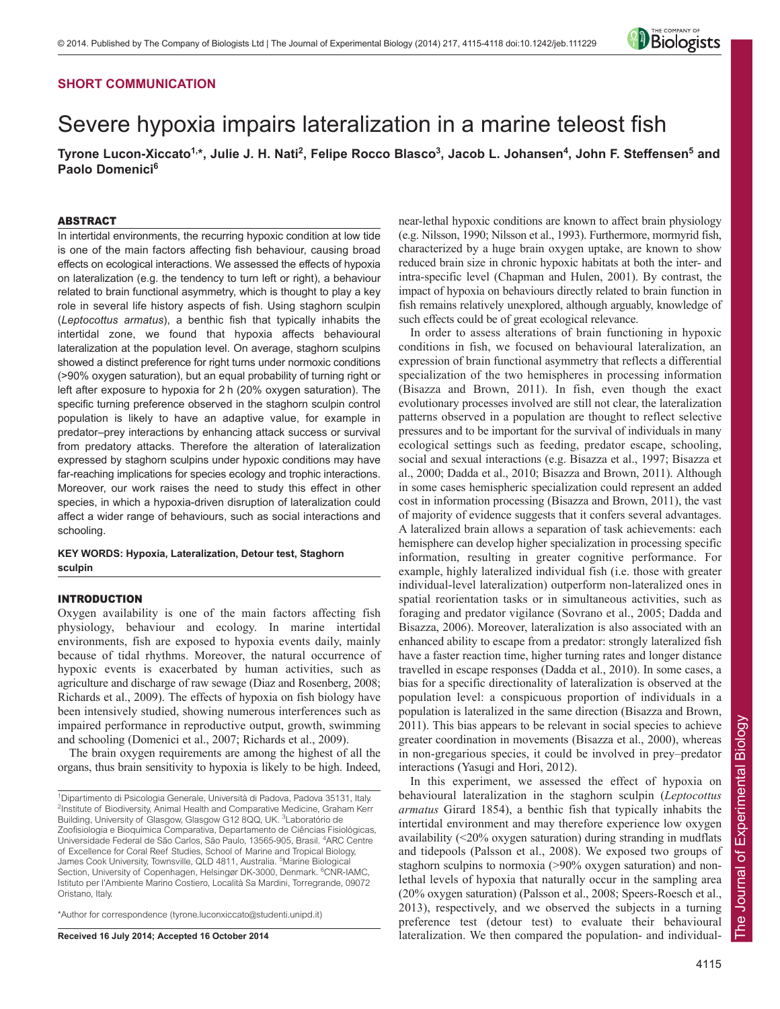## **SHORT COMMUNICATION**

# Severe hypoxia impairs lateralization in a marine teleost fish

**Tyrone Lucon-Xiccato1,\*, Julie J. H. Nati2 , Felipe Rocco Blasco3 , Jacob L. Johansen4 , John F. Steffensen5 and Paolo Domenici6**

### ABSTRACT

In intertidal environments, the recurring hypoxic condition at low tide is one of the main factors affecting fish behaviour, causing broad effects on ecological interactions. We assessed the effects of hypoxia on lateralization (e.g. the tendency to turn left or right), a behaviour related to brain functional asymmetry, which is thought to play a key role in several life history aspects of fish. Using staghorn sculpin (*Leptocottus armatus*), a benthic fish that typically inhabits the intertidal zone, we found that hypoxia affects behavioural lateralization at the population level. On average, staghorn sculpins showed a distinct preference for right turns under normoxic conditions (>90% oxygen saturation), but an equal probability of turning right or left after exposure to hypoxia for 2 h (20% oxygen saturation). The specific turning preference observed in the staghorn sculpin control population is likely to have an adaptive value, for example in predator–prey interactions by enhancing attack success or survival from predatory attacks. Therefore the alteration of lateralization expressed by staghorn sculpins under hypoxic conditions may have far-reaching implications for species ecology and trophic interactions. Moreover, our work raises the need to study this effect in other species, in which a hypoxia-driven disruption of lateralization could affect a wider range of behaviours, such as social interactions and schooling.

**KEY WORDS: Hypoxia, Lateralization, Detour test, Staghorn sculpin**

## INTRODUCTION

Oxygen availability is one of the main factors affecting fish physiology, behaviour and ecology. In marine intertidal environments, fish are exposed to hypoxia events daily, mainly because of tidal rhythms. Moreover, the natural occurrence of hypoxic events is exacerbated by human activities, such as agriculture and discharge of raw sewage (Diaz and Rosenberg, 2008; Richards et al., 2009). The effects of hypoxia on fish biology have been intensively studied, showing numerous interferences such as impaired performance in reproductive output, growth, swimming and schooling (Domenici et al., 2007; Richards et al., 2009).

The brain oxygen requirements are among the highest of all the organs, thus brain sensitivity to hypoxia is likely to be high. Indeed,

\*Author for correspondence (tyrone.luconxiccato@studenti.unipd.it)

**Received 16 July 2014; Accepted 16 October 2014**

near-lethal hypoxic conditions are known to affect brain physiology (e.g. Nilsson, 1990; Nilsson et al., 1993). Furthermore, mormyrid fish, characterized by a huge brain oxygen uptake, are known to show reduced brain size in chronic hypoxic habitats at both the inter- and intra-specific level (Chapman and Hulen, 2001). By contrast, the impact of hypoxia on behaviours directly related to brain function in fish remains relatively unexplored, although arguably, knowledge of such effects could be of great ecological relevance.

In order to assess alterations of brain functioning in hypoxic conditions in fish, we focused on behavioural lateralization, an expression of brain functional asymmetry that reflects a differential specialization of the two hemispheres in processing information (Bisazza and Brown, 2011). In fish, even though the exact evolutionary processes involved are still not clear, the lateralization patterns observed in a population are thought to reflect selective pressures and to be important for the survival of individuals in many ecological settings such as feeding, predator escape, schooling, social and sexual interactions (e.g. Bisazza et al., 1997; Bisazza et al., 2000; Dadda et al., 2010; Bisazza and Brown, 2011). Although in some cases hemispheric specialization could represent an added cost in information processing (Bisazza and Brown, 2011), the vast of majority of evidence suggests that it confers several advantages. A lateralized brain allows a separation of task achievements: each hemisphere can develop higher specialization in processing specific information, resulting in greater cognitive performance. For example, highly lateralized individual fish (i.e. those with greater individual-level lateralization) outperform non-lateralized ones in spatial reorientation tasks or in simultaneous activities, such as foraging and predator vigilance (Sovrano et al., 2005; Dadda and Bisazza, 2006). Moreover, lateralization is also associated with an enhanced ability to escape from a predator: strongly lateralized fish have a faster reaction time, higher turning rates and longer distance travelled in escape responses (Dadda et al., 2010). In some cases, a bias for a specific directionality of lateralization is observed at the population level: a conspicuous proportion of individuals in a population is lateralized in the same direction (Bisazza and Brown, 2011). This bias appears to be relevant in social species to achieve greater coordination in movements (Bisazza et al., 2000), whereas in non-gregarious species, it could be involved in prey–predator interactions (Yasugi and Hori, 2012).

In this experiment, we assessed the effect of hypoxia on behavioural lateralization in the staghorn sculpin (*Leptocottus armatus* Girard 1854), a benthic fish that typically inhabits the intertidal environment and may therefore experience low oxygen availability (<20% oxygen saturation) during stranding in mudflats and tidepools (Palsson et al., 2008). We exposed two groups of staghorn sculpins to normoxia (>90% oxygen saturation) and nonlethal levels of hypoxia that naturally occur in the sampling area (20% oxygen saturation) (Palsson et al., 2008; Speers-Roesch et al., 2013), respectively, and we observed the subjects in a turning preference test (detour test) to evaluate their behavioural lateralization. We then compared the population- and individual-



<sup>1</sup> Dipartimento di Psicologia Generale, Università di Padova, Padova 35131, Italy. <sup>2</sup>Institute of Biodiversity, Animal Health and Comparative Medicine, Graham Kerr Building, University of Glasgow, Glasgow G12 8QQ, UK. <sup>3</sup>Laboratório de Zoofisiologia e Bioquímica Comparativa, Departamento de Ciências Fisiológicas, Universidade Federal de São Carlos, São Paulo, 13565-905, Brasil. <sup>4</sup>ARC Centre of Excellence for Coral Reef Studies, School of Marine and Tropical Biology, James Cook University, Townsville, QLD 4811, Australia. <sup>5</sup>Marine Biological Section, University of Copenhagen, Helsingør DK-3000, Denmark. <sup>6</sup>CNR-IAMC, Istituto per l'Ambiente Marino Costiero, Località Sa Mardini, Torregrande, 09072 Oristano, Italy.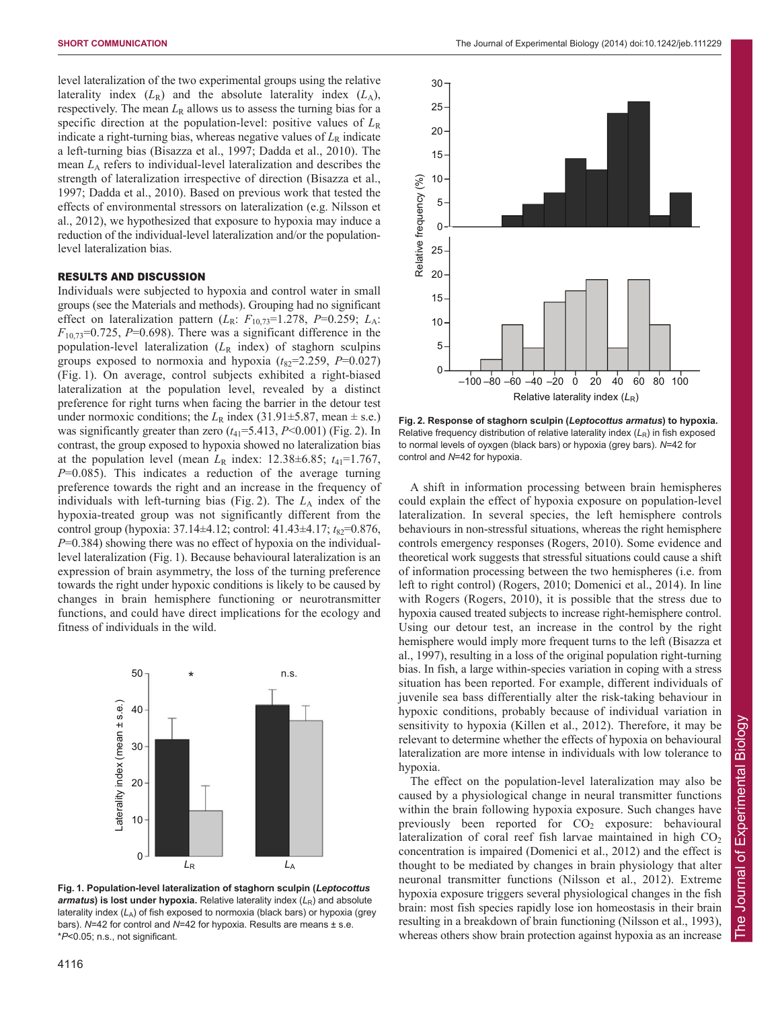level lateralization of the two experimental groups using the relative laterality index  $(L_R)$  and the absolute laterality index  $(L_A)$ , respectively. The mean  $L_R$  allows us to assess the turning bias for a specific direction at the population-level: positive values of  $L<sub>R</sub>$ indicate a right-turning bias, whereas negative values of  $L<sub>R</sub>$  indicate a left-turning bias (Bisazza et al., 1997; Dadda et al., 2010). The mean  $L_A$  refers to individual-level lateralization and describes the strength of lateralization irrespective of direction (Bisazza et al., 1997; Dadda et al., 2010). Based on previous work that tested the effects of environmental stressors on lateralization (e.g. Nilsson et al., 2012), we hypothesized that exposure to hypoxia may induce a reduction of the individual-level lateralization and/or the populationlevel lateralization bias.

## RESULTS AND DISCUSSION

Individuals were subjected to hypoxia and control water in small groups (see the Materials and methods). Grouping had no significant effect on lateralization pattern  $(L_R: F_{10,73}=1.278, P=0.259; L_A$ .  $F_{10,73}$ =0.725, *P*=0.698). There was a significant difference in the population-level lateralization (*L*<sup>R</sup> index) of staghorn sculpins groups exposed to normoxia and hypoxia  $(t_{82}=2.259, P=0.027)$ (Fig. 1). On average, control subjects exhibited a right-biased lateralization at the population level, revealed by a distinct preference for right turns when facing the barrier in the detour test under normoxic conditions; the  $L_R$  index (31.91 $\pm$ 5.87, mean  $\pm$  s.e.) was significantly greater than zero  $(t_{41} = 5.413, P < 0.001)$  (Fig. 2). In contrast, the group exposed to hypoxia showed no lateralization bias at the population level (mean  $L<sub>R</sub>$  index: 12.38 $\pm$ 6.85;  $t<sub>41</sub>=1.767$ , *P*=0.085). This indicates a reduction of the average turning preference towards the right and an increase in the frequency of individuals with left-turning bias (Fig. 2). The  $L_A$  index of the hypoxia-treated group was not significantly different from the control group (hypoxia: 37.14±4.12; control: 41.43±4.17;  $t_{82}$ =0.876, *P*=0.384) showing there was no effect of hypoxia on the individuallevel lateralization (Fig. 1). Because behavioural lateralization is an expression of brain asymmetry, the loss of the turning preference towards the right under hypoxic conditions is likely to be caused by changes in brain hemisphere functioning or neurotransmitter functions, and could have direct implications for the ecology and fitness of individuals in the wild.



**Fig. 1. Population-level lateralization of staghorn sculpin (***Leptocottus*  $armatus$ ) is lost under hypoxia. Relative laterality index  $(L_R)$  and absolute laterality index (LA) of fish exposed to normoxia (black bars) or hypoxia (grey bars). *N*=42 for control and *N*=42 for hypoxia. Results are means ± s.e. \**P*<0.05; n.s., not significant.



**Fig. 2. Response of staghorn sculpin (***Leptocottus armatus***) to hypoxia.** Relative frequency distribution of relative laterality index (L<sub>R</sub>) in fish exposed to normal levels of oyxgen (black bars) or hypoxia (grey bars). *N*=42 for control and *N*=42 for hypoxia.

A shift in information processing between brain hemispheres could explain the effect of hypoxia exposure on population-level lateralization. In several species, the left hemisphere controls behaviours in non-stressful situations, whereas the right hemisphere controls emergency responses (Rogers, 2010). Some evidence and theoretical work suggests that stressful situations could cause a shift of information processing between the two hemispheres (i.e. from left to right control) (Rogers, 2010; Domenici et al., 2014). In line with Rogers (Rogers, 2010), it is possible that the stress due to hypoxia caused treated subjects to increase right-hemisphere control. Using our detour test, an increase in the control by the right hemisphere would imply more frequent turns to the left (Bisazza et al., 1997), resulting in a loss of the original population right-turning bias. In fish, a large within-species variation in coping with a stress situation has been reported. For example, different individuals of juvenile sea bass differentially alter the risk-taking behaviour in hypoxic conditions, probably because of individual variation in sensitivity to hypoxia (Killen et al., 2012). Therefore, it may be relevant to determine whether the effects of hypoxia on behavioural lateralization are more intense in individuals with low tolerance to hypoxia.

The effect on the population-level lateralization may also be caused by a physiological change in neural transmitter functions within the brain following hypoxia exposure. Such changes have previously been reported for  $CO<sub>2</sub>$  exposure: behavioural lateralization of coral reef fish larvae maintained in high  $CO<sub>2</sub>$ concentration is impaired (Domenici et al., 2012) and the effect is thought to be mediated by changes in brain physiology that alter neuronal transmitter functions (Nilsson et al., 2012). Extreme hypoxia exposure triggers several physiological changes in the fish brain: most fish species rapidly lose ion homeostasis in their brain resulting in a breakdown of brain functioning (Nilsson et al., 1993), whereas others show brain protection against hypoxia as an increase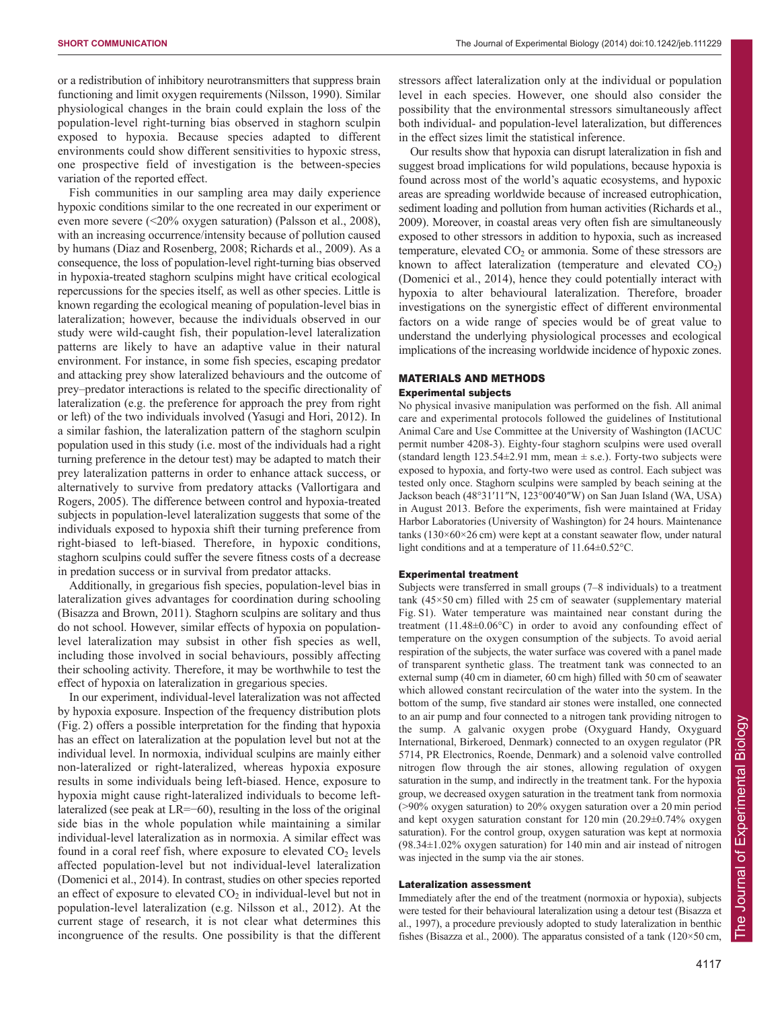or a redistribution of inhibitory neurotransmitters that suppress brain functioning and limit oxygen requirements (Nilsson, 1990). Similar physiological changes in the brain could explain the loss of the population-level right-turning bias observed in staghorn sculpin exposed to hypoxia. Because species adapted to different environments could show different sensitivities to hypoxic stress, one prospective field of investigation is the between-species variation of the reported effect.

Fish communities in our sampling area may daily experience hypoxic conditions similar to the one recreated in our experiment or even more severe (<20% oxygen saturation) (Palsson et al., 2008), with an increasing occurrence/intensity because of pollution caused by humans (Diaz and Rosenberg, 2008; Richards et al., 2009). As a consequence, the loss of population-level right-turning bias observed in hypoxia-treated staghorn sculpins might have critical ecological repercussions for the species itself, as well as other species. Little is known regarding the ecological meaning of population-level bias in lateralization; however, because the individuals observed in our study were wild-caught fish, their population-level lateralization patterns are likely to have an adaptive value in their natural environment. For instance, in some fish species, escaping predator and attacking prey show lateralized behaviours and the outcome of prey–predator interactions is related to the specific directionality of lateralization (e.g. the preference for approach the prey from right or left) of the two individuals involved (Yasugi and Hori, 2012). In a similar fashion, the lateralization pattern of the staghorn sculpin population used in this study (i.e. most of the individuals had a right turning preference in the detour test) may be adapted to match their prey lateralization patterns in order to enhance attack success, or alternatively to survive from predatory attacks (Vallortigara and Rogers, 2005). The difference between control and hypoxia-treated subjects in population-level lateralization suggests that some of the individuals exposed to hypoxia shift their turning preference from right-biased to left-biased. Therefore, in hypoxic conditions, staghorn sculpins could suffer the severe fitness costs of a decrease in predation success or in survival from predator attacks.

Additionally, in gregarious fish species, population-level bias in lateralization gives advantages for coordination during schooling (Bisazza and Brown, 2011). Staghorn sculpins are solitary and thus do not school. However, similar effects of hypoxia on populationlevel lateralization may subsist in other fish species as well, including those involved in social behaviours, possibly affecting their schooling activity. Therefore, it may be worthwhile to test the effect of hypoxia on lateralization in gregarious species.

In our experiment, individual-level lateralization was not affected by hypoxia exposure. Inspection of the frequency distribution plots (Fig. 2) offers a possible interpretation for the finding that hypoxia has an effect on lateralization at the population level but not at the individual level. In normoxia, individual sculpins are mainly either non-lateralized or right-lateralized, whereas hypoxia exposure results in some individuals being left-biased. Hence, exposure to hypoxia might cause right-lateralized individuals to become leftlateralized (see peak at LR=−60), resulting in the loss of the original side bias in the whole population while maintaining a similar individual-level lateralization as in normoxia. A similar effect was found in a coral reef fish, where exposure to elevated  $CO<sub>2</sub>$  levels affected population-level but not individual-level lateralization (Domenici et al., 2014). In contrast, studies on other species reported an effect of exposure to elevated  $CO<sub>2</sub>$  in individual-level but not in population-level lateralization (e.g. Nilsson et al., 2012). At the current stage of research, it is not clear what determines this incongruence of the results. One possibility is that the different stressors affect lateralization only at the individual or population level in each species. However, one should also consider the possibility that the environmental stressors simultaneously affect both individual- and population-level lateralization, but differences in the effect sizes limit the statistical inference.

Our results show that hypoxia can disrupt lateralization in fish and suggest broad implications for wild populations, because hypoxia is found across most of the world's aquatic ecosystems, and hypoxic areas are spreading worldwide because of increased eutrophication, sediment loading and pollution from human activities (Richards et al., 2009). Moreover, in coastal areas very often fish are simultaneously exposed to other stressors in addition to hypoxia, such as increased temperature, elevated  $CO<sub>2</sub>$  or ammonia. Some of these stressors are known to affect lateralization (temperature and elevated  $CO<sub>2</sub>$ ) (Domenici et al., 2014), hence they could potentially interact with hypoxia to alter behavioural lateralization. Therefore, broader investigations on the synergistic effect of different environmental factors on a wide range of species would be of great value to understand the underlying physiological processes and ecological implications of the increasing worldwide incidence of hypoxic zones.

# MATERIALS AND METHODS

## Experimental subjects

No physical invasive manipulation was performed on the fish. All animal care and experimental protocols followed the guidelines of Institutional Animal Care and Use Committee at the University of Washington (IACUC permit number 4208-3). Eighty-four staghorn sculpins were used overall (standard length  $123.54 \pm 2.91$  mm, mean  $\pm$  s.e.). Forty-two subjects were exposed to hypoxia, and forty-two were used as control. Each subject was tested only once. Staghorn sculpins were sampled by beach seining at the Jackson beach (48°31′11″N, 123°00′40″W) on San Juan Island (WA, USA) in August 2013. Before the experiments, fish were maintained at Friday Harbor Laboratories (University of Washington) for 24 hours. Maintenance tanks  $(130\times60\times26$  cm) were kept at a constant seawater flow, under natural light conditions and at a temperature of 11.64±0.52°C.

## Experimental treatment

Subjects were transferred in small groups (7–8 individuals) to a treatment tank (45×50 cm) filled with 25 cm of seawater (supplementary material Fig. S1). Water temperature was maintained near constant during the treatment (11.48±0.06°C) in order to avoid any confounding effect of temperature on the oxygen consumption of the subjects. To avoid aerial respiration of the subjects, the water surface was covered with a panel made of transparent synthetic glass. The treatment tank was connected to an external sump (40 cm in diameter, 60 cm high) filled with 50 cm of seawater which allowed constant recirculation of the water into the system. In the bottom of the sump, five standard air stones were installed, one connected to an air pump and four connected to a nitrogen tank providing nitrogen to the sump. A galvanic oxygen probe (Oxyguard Handy, Oxyguard International, Birkeroed, Denmark) connected to an oxygen regulator (PR 5714, PR Electronics, Roende, Denmark) and a solenoid valve controlled nitrogen flow through the air stones, allowing regulation of oxygen saturation in the sump, and indirectly in the treatment tank. For the hypoxia group, we decreased oxygen saturation in the treatment tank from normoxia (>90% oxygen saturation) to 20% oxygen saturation over a 20 min period and kept oxygen saturation constant for 120 min (20.29±0.74% oxygen saturation). For the control group, oxygen saturation was kept at normoxia (98.34±1.02% oxygen saturation) for 140 min and air instead of nitrogen was injected in the sump via the air stones.

## Lateralization assessment

Immediately after the end of the treatment (normoxia or hypoxia), subjects were tested for their behavioural lateralization using a detour test (Bisazza et al., 1997), a procedure previously adopted to study lateralization in benthic fishes (Bisazza et al., 2000). The apparatus consisted of a tank (120×50 cm,